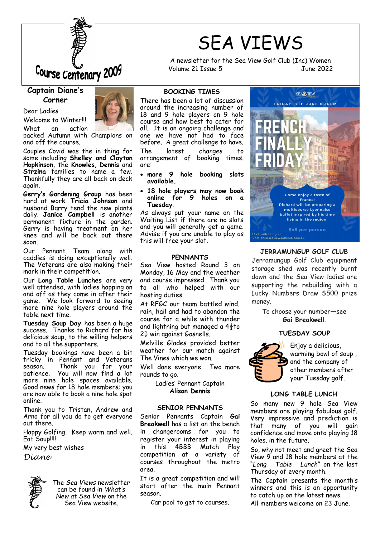

### **Captain Diane's Corner**

Welcome to Winter!!!

Dear Ladies



What an action packed Autumn with Champions on and off the course.

Couples Covid was the in thing for some including **Shelley and Clayton Hopkinson**, the **Knowles**, **Dennis** and **Strzina** families to name a few. Thankfully they are all back on deck again.

**Gerry's Gardening Group** has been hard at work. **Tricia Johnson** and husband Barry tend the new plants daily. **Janice Campbell** is another permanent fixture in the garden. Gerry is having treatment on her knee and will be back out there soon.

Our Pennant Team along with caddies is doing exceptionally well. The Veterans are also making their mark in their competition.

Our **Long Table Lunches** are very well attended, with ladies hopping on and off as they come in after their game. We look forward to seeing more nine hole players around the table next time.

**Tuesday Soup Day** has been a huge success. Thanks to Richard for his delicious soup, to the willing helpers and to all the supporters.

Tuesday bookings have been a bit tricky in Pennant and Veterans season. Thank you for your patience. You will now find a lot more nine hole spaces available. Good news for 18 hole members; you are now able to book a nine hole spot online.

Thank you to Tristan, Andrew and Arno for all you do to get everyone out there.

Happy Golfing. Keep warm and well. Eat Soup!!!!

My very best wishes

*Diane*



The *Sea Views* newsletter can be found in *What's New at Sea View* on the Sea View website.

## SEA VIEWS A newsletter for the Sea View Golf Club (Inc) Women

Volume 21 Issue 5 June 2022



### **JERRAMUNGUP GOLF CLUB**

Jerramungup Golf Club equipment storage shed was recently burnt down and the Sea View ladies are supporting the rebuilding with a Lucky Numbers Draw \$500 prize money.

To choose your number—see **Gai Breakwell**.

### **TUESDAY SOUP**



Enjoy a delicious, warming bowl of soup , and the company of other members after your Tuesday golf.

### **LONG TABLE LUNCH**

So many new 9 hole Sea View members are playing fabulous golf. Very impressive and prediction is that many of you will gain confidence and move onto playing 18 holes. in the future.

So, why not meet and greet the Sea View 9 and 18 hole members at the "*Long Table Lunch*" on the last Thursday of every month.

The Captain presents the month's winners and this is an opportunity to catch up on the latest news.

All members welcome on 23 June.

### **BOOKING TIMES**

There has been a lot of discussion around the increasing number of 18 and 9 hole players on 9 hole course and how best to cater for all. It is an ongoing challenge and one we have not had to face before. A great challenge to have.

The latest changes to arrangement of booking times. are:

- **more 9 hole booking slots available.**
- **18 hole players may now book online for 9 holes on a Tuesday**.

As always put your name on the Waiting List if there are no slots and you will generally get a game. Advise if you are unable to play as this will free your slot.

### **PENNANTS**

Sea View hosted Round 3 on Monday, 16 May and the weather and course impressed. Thank you to all who helped with our hosting duties.

At RFGC our team battled wind, rain, hail and had to abandon the course for a while with thunder and lightning but managed a  $4\frac{1}{2}$ to  $2\frac{1}{2}$  win against Gosnells.

Melville Glades provided better weather for our match against The Vines which we won.

Well done everyone. Two more rounds to go.

> Ladies' Pennant Captain **Alison Dennis**

### **SENIOR PENNANTS**

Senior Pennants Captain **Gai Breakwell** has a list on the bench in changerooms for you to register your interest in playing in this 4BBB Match Play competition at a variety of courses throughout the metro area.

It is a great competition and will start after the main Pennant season.

Car pool to get to courses.